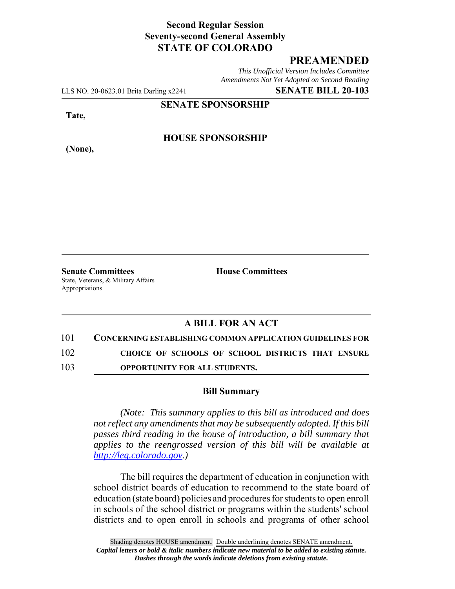### **Second Regular Session Seventy-second General Assembly STATE OF COLORADO**

# **PREAMENDED**

*This Unofficial Version Includes Committee Amendments Not Yet Adopted on Second Reading*

LLS NO. 20-0623.01 Brita Darling x2241 **SENATE BILL 20-103**

**SENATE SPONSORSHIP**

**Tate,**

**(None),**

**HOUSE SPONSORSHIP**

**Senate Committees House Committees** State, Veterans, & Military Affairs Appropriations

# **A BILL FOR AN ACT**

#### 101 **CONCERNING ESTABLISHING COMMON APPLICATION GUIDELINES FOR**

102 **CHOICE OF SCHOOLS OF SCHOOL DISTRICTS THAT ENSURE**

103 **OPPORTUNITY FOR ALL STUDENTS.**

#### **Bill Summary**

*(Note: This summary applies to this bill as introduced and does not reflect any amendments that may be subsequently adopted. If this bill passes third reading in the house of introduction, a bill summary that applies to the reengrossed version of this bill will be available at http://leg.colorado.gov.)*

The bill requires the department of education in conjunction with school district boards of education to recommend to the state board of education (state board) policies and procedures for students to open enroll in schools of the school district or programs within the students' school districts and to open enroll in schools and programs of other school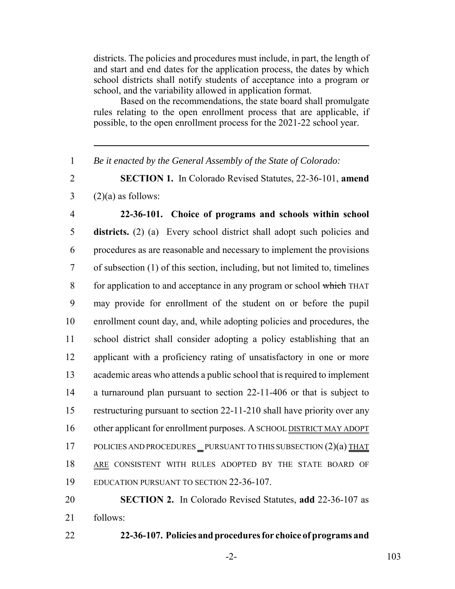districts. The policies and procedures must include, in part, the length of and start and end dates for the application process, the dates by which school districts shall notify students of acceptance into a program or school, and the variability allowed in application format.

Based on the recommendations, the state board shall promulgate rules relating to the open enrollment process that are applicable, if possible, to the open enrollment process for the 2021-22 school year.

1 *Be it enacted by the General Assembly of the State of Colorado:*

2 **SECTION 1.** In Colorado Revised Statutes, 22-36-101, **amend**  $3 \qquad (2)(a)$  as follows:

 **22-36-101. Choice of programs and schools within school districts.** (2) (a) Every school district shall adopt such policies and procedures as are reasonable and necessary to implement the provisions of subsection (1) of this section, including, but not limited to, timelines 8 for application to and acceptance in any program or school which THAT may provide for enrollment of the student on or before the pupil enrollment count day, and, while adopting policies and procedures, the school district shall consider adopting a policy establishing that an applicant with a proficiency rating of unsatisfactory in one or more academic areas who attends a public school that is required to implement a turnaround plan pursuant to section 22-11-406 or that is subject to restructuring pursuant to section 22-11-210 shall have priority over any 16 other applicant for enrollment purposes. A SCHOOL DISTRICT MAY ADOPT 17 POLICIES AND PROCEDURES PURSUANT TO THIS SUBSECTION (2)(a) THAT 18 ARE CONSISTENT WITH RULES ADOPTED BY THE STATE BOARD OF EDUCATION PURSUANT TO SECTION 22-36-107.

20 **SECTION 2.** In Colorado Revised Statutes, **add** 22-36-107 as 21 follows:

22 **22-36-107. Policies and procedures for choice of programs and**

-2- 103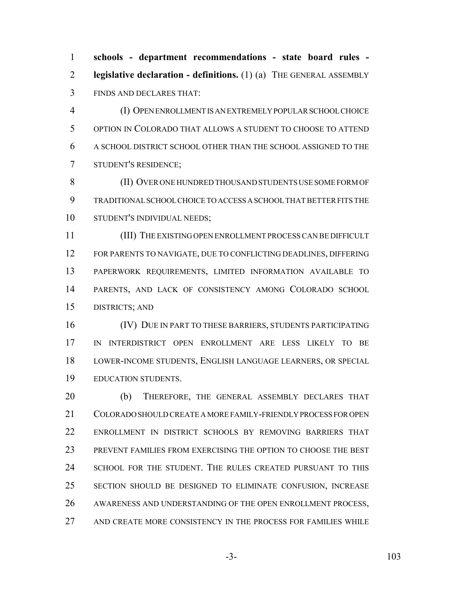**schools - department recommendations - state board rules - legislative declaration - definitions.** (1) (a) THE GENERAL ASSEMBLY FINDS AND DECLARES THAT:

 (I) OPEN ENROLLMENT IS AN EXTREMELY POPULAR SCHOOL CHOICE OPTION IN COLORADO THAT ALLOWS A STUDENT TO CHOOSE TO ATTEND A SCHOOL DISTRICT SCHOOL OTHER THAN THE SCHOOL ASSIGNED TO THE STUDENT'S RESIDENCE;

 (II) OVER ONE HUNDRED THOUSAND STUDENTS USE SOME FORM OF TRADITIONAL SCHOOL CHOICE TO ACCESS A SCHOOL THAT BETTER FITS THE STUDENT'S INDIVIDUAL NEEDS;

 (III) THE EXISTING OPEN ENROLLMENT PROCESS CAN BE DIFFICULT FOR PARENTS TO NAVIGATE, DUE TO CONFLICTING DEADLINES, DIFFERING PAPERWORK REQUIREMENTS, LIMITED INFORMATION AVAILABLE TO PARENTS, AND LACK OF CONSISTENCY AMONG COLORADO SCHOOL DISTRICTS; AND

 (IV) DUE IN PART TO THESE BARRIERS, STUDENTS PARTICIPATING IN INTERDISTRICT OPEN ENROLLMENT ARE LESS LIKELY TO BE LOWER-INCOME STUDENTS, ENGLISH LANGUAGE LEARNERS, OR SPECIAL EDUCATION STUDENTS.

 (b) THEREFORE, THE GENERAL ASSEMBLY DECLARES THAT COLORADO SHOULD CREATE A MORE FAMILY-FRIENDLY PROCESS FOR OPEN ENROLLMENT IN DISTRICT SCHOOLS BY REMOVING BARRIERS THAT PREVENT FAMILIES FROM EXERCISING THE OPTION TO CHOOSE THE BEST SCHOOL FOR THE STUDENT. THE RULES CREATED PURSUANT TO THIS SECTION SHOULD BE DESIGNED TO ELIMINATE CONFUSION, INCREASE 26 AWARENESS AND UNDERSTANDING OF THE OPEN ENROLLMENT PROCESS, AND CREATE MORE CONSISTENCY IN THE PROCESS FOR FAMILIES WHILE

-3- 103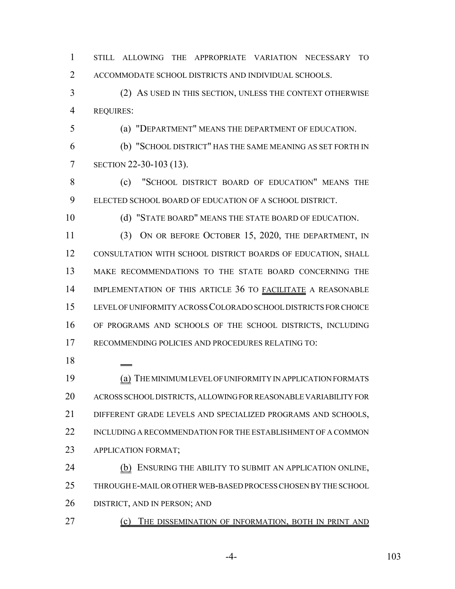STILL ALLOWING THE APPROPRIATE VARIATION NECESSARY TO ACCOMMODATE SCHOOL DISTRICTS AND INDIVIDUAL SCHOOLS.

 (2) AS USED IN THIS SECTION, UNLESS THE CONTEXT OTHERWISE REQUIRES:

(a) "DEPARTMENT" MEANS THE DEPARTMENT OF EDUCATION.

 (b) "SCHOOL DISTRICT" HAS THE SAME MEANING AS SET FORTH IN SECTION 22-30-103 (13).

 (c) "SCHOOL DISTRICT BOARD OF EDUCATION" MEANS THE ELECTED SCHOOL BOARD OF EDUCATION OF A SCHOOL DISTRICT.

10 (d) "STATE BOARD" MEANS THE STATE BOARD OF EDUCATION.

 (3) ON OR BEFORE OCTOBER 15, 2020, THE DEPARTMENT, IN CONSULTATION WITH SCHOOL DISTRICT BOARDS OF EDUCATION, SHALL MAKE RECOMMENDATIONS TO THE STATE BOARD CONCERNING THE 14 IMPLEMENTATION OF THIS ARTICLE 36 TO FACILITATE A REASONABLE LEVEL OF UNIFORMITY ACROSS COLORADO SCHOOL DISTRICTS FOR CHOICE OF PROGRAMS AND SCHOOLS OF THE SCHOOL DISTRICTS, INCLUDING RECOMMENDING POLICIES AND PROCEDURES RELATING TO:

 (a) THE MINIMUM LEVEL OF UNIFORMITY IN APPLICATION FORMATS ACROSS SCHOOL DISTRICTS, ALLOWING FOR REASONABLE VARIABILITY FOR DIFFERENT GRADE LEVELS AND SPECIALIZED PROGRAMS AND SCHOOLS, INCLUDING A RECOMMENDATION FOR THE ESTABLISHMENT OF A COMMON APPLICATION FORMAT;

24 (b) ENSURING THE ABILITY TO SUBMIT AN APPLICATION ONLINE, THROUGH E-MAIL OR OTHER WEB-BASED PROCESS CHOSEN BY THE SCHOOL DISTRICT, AND IN PERSON; AND

**(c)** THE DISSEMINATION OF INFORMATION, BOTH IN PRINT AND

-4- 103